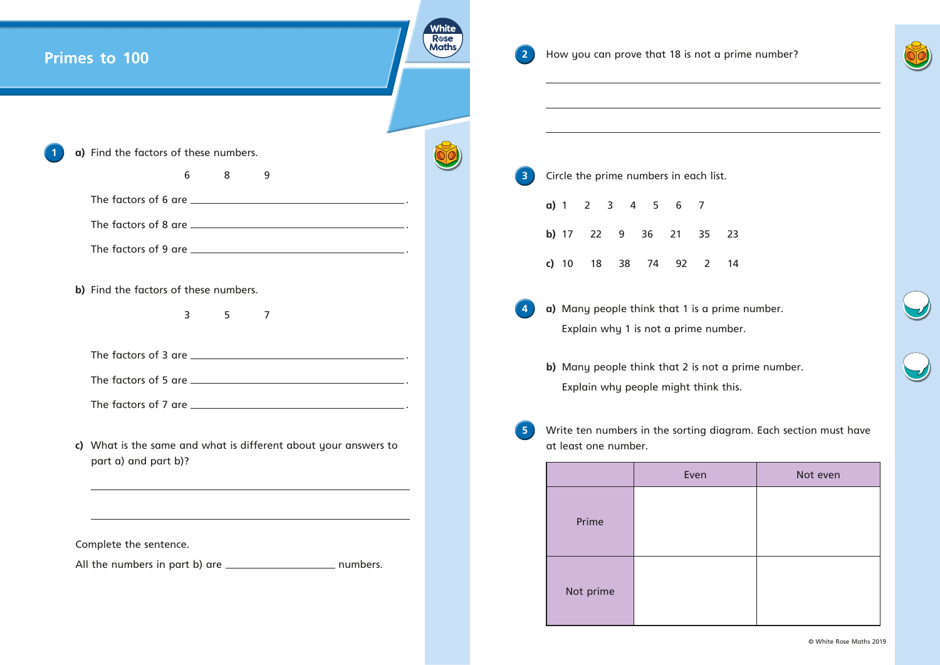| Primes to 100                                                                                                         | White<br>Rose<br>Maths | $\mathbf{2}$            | How you can prove that 18 is not a pri<br>the control of the control of the control of the control of the control of the control of |                                                                                                                       |  |  |
|-----------------------------------------------------------------------------------------------------------------------|------------------------|-------------------------|-------------------------------------------------------------------------------------------------------------------------------------|-----------------------------------------------------------------------------------------------------------------------|--|--|
| a) Find the factors of these numbers.                                                                                 |                        |                         |                                                                                                                                     | <u> 1989 - Johann Barbara, martin amerikan basal dan berasal dan berasal dalam basal dalam basal dalam basal dala</u> |  |  |
| 6<br>8<br>9                                                                                                           |                        | $\overline{\mathbf{3}}$ |                                                                                                                                     | Circle the prime numbers in each list.                                                                                |  |  |
|                                                                                                                       |                        |                         | a) 1 2 3 4 5 6 7                                                                                                                    |                                                                                                                       |  |  |
|                                                                                                                       |                        |                         |                                                                                                                                     | b) 17 22 9 36 21 35 23                                                                                                |  |  |
|                                                                                                                       |                        |                         |                                                                                                                                     | c) 10 18 38 74 92 2 14                                                                                                |  |  |
| b) Find the factors of these numbers.                                                                                 |                        |                         |                                                                                                                                     |                                                                                                                       |  |  |
| 3 <sup>7</sup><br>5<br>$\overline{7}$                                                                                 |                        |                         |                                                                                                                                     | a) Many people think that 1 is a prime<br>Explain why 1 is not a prime numbe                                          |  |  |
|                                                                                                                       |                        |                         |                                                                                                                                     |                                                                                                                       |  |  |
|                                                                                                                       |                        |                         |                                                                                                                                     | b) Many people think that 2 is not a p                                                                                |  |  |
|                                                                                                                       |                        |                         |                                                                                                                                     | Explain why people might think this                                                                                   |  |  |
| c) What is the same and what is different about your answers to                                                       |                        | 5 <sub>1</sub>          | Write ten numbers in the sorting diagro<br>at least one number.                                                                     |                                                                                                                       |  |  |
| part a) and part b)?                                                                                                  |                        |                         |                                                                                                                                     | Even                                                                                                                  |  |  |
|                                                                                                                       |                        |                         |                                                                                                                                     |                                                                                                                       |  |  |
| <u> 1989 - Johann Stoff, deutscher Stoff, der Stoff, der Stoff, der Stoff, der Stoff, der Stoff, der Stoff, der S</u> |                        |                         | Prime                                                                                                                               |                                                                                                                       |  |  |
| Complete the sentence.                                                                                                |                        |                         |                                                                                                                                     |                                                                                                                       |  |  |
|                                                                                                                       |                        |                         | Not prime                                                                                                                           |                                                                                                                       |  |  |
|                                                                                                                       |                        |                         |                                                                                                                                     |                                                                                                                       |  |  |

**prime number.** 

umber.

bt a prime number.  $ik$  this.

## $\frac{1}{2}$  diagram. Each section must have

| Even | Not even |  |  |  |  |
|------|----------|--|--|--|--|
|      |          |  |  |  |  |
|      |          |  |  |  |  |
|      |          |  |  |  |  |
|      |          |  |  |  |  |
|      |          |  |  |  |  |
|      |          |  |  |  |  |

© White Rose Maths 2019